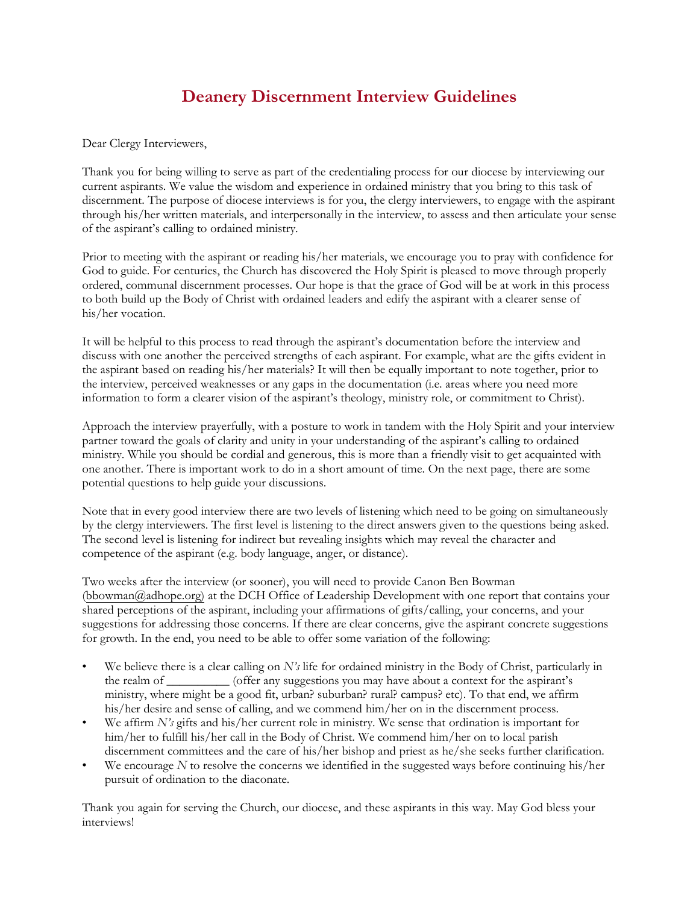## **Deanery Discernment Interview Guidelines**

Dear Clergy Interviewers,

Thank you for being willing to serve as part of the credentialing process for our diocese by interviewing our current aspirants. We value the wisdom and experience in ordained ministry that you bring to this task of discernment. The purpose of diocese interviews is for you, the clergy interviewers, to engage with the aspirant through his/her written materials, and interpersonally in the interview, to assess and then articulate your sense of the aspirant's calling to ordained ministry.

Prior to meeting with the aspirant or reading his/her materials, we encourage you to pray with confidence for God to guide. For centuries, the Church has discovered the Holy Spirit is pleased to move through properly ordered, communal discernment processes. Our hope is that the grace of God will be at work in this process to both build up the Body of Christ with ordained leaders and edify the aspirant with a clearer sense of his/her vocation.

It will be helpful to this process to read through the aspirant's documentation before the interview and discuss with one another the perceived strengths of each aspirant. For example, what are the gifts evident in the aspirant based on reading his/her materials? It will then be equally important to note together, prior to the interview, perceived weaknesses or any gaps in the documentation (i.e. areas where you need more information to form a clearer vision of the aspirant's theology, ministry role, or commitment to Christ).

Approach the interview prayerfully, with a posture to work in tandem with the Holy Spirit and your interview partner toward the goals of clarity and unity in your understanding of the aspirant's calling to ordained ministry. While you should be cordial and generous, this is more than a friendly visit to get acquainted with one another. There is important work to do in a short amount of time. On the next page, there are some potential questions to help guide your discussions.

Note that in every good interview there are two levels of listening which need to be going on simultaneously by the clergy interviewers. The first level is listening to the direct answers given to the questions being asked. The second level is listening for indirect but revealing insights which may reveal the character and competence of the aspirant (e.g. body language, anger, or distance).

Two weeks after the interview (or sooner), you will need to provide Canon Ben B[owman](mailto:bbowman@adhope.org))  (bbowman@adhope.org) at the DCH Office of Leadership Development with one report that contains your shared perceptions of the aspirant, including your affirmations of gifts/calling, your concerns, and your suggestions for addressing those concerns. If there are clear concerns, give the aspirant concrete suggestions for growth. In the end, you need to be able to offer some variation of the following:

- We believe there is a clear calling on  $N'$  life for ordained ministry in the Body of Christ, particularly in the realm of \_\_\_\_\_\_\_\_\_\_ (offer any suggestions you may have about a context for the aspirant's ministry, where might be a good fit, urban? suburban? rural? campus? etc). To that end, we affirm his/her desire and sense of calling, and we commend him/her on in the discernment process.
- We affirm *N's* gifts and his/her current role in ministry. We sense that ordination is important for him/her to fulfill his/her call in the Body of Christ. We commend him/her on to local parish discernment committees and the care of his/her bishop and priest as he/she seeks further clarification.
- We encourage *N* to resolve the concerns we identified in the suggested ways before continuing his/her pursuit of ordination to the diaconate.

Thank you again for serving the Church, our diocese, and these aspirants in this way. May God bless your interviews!